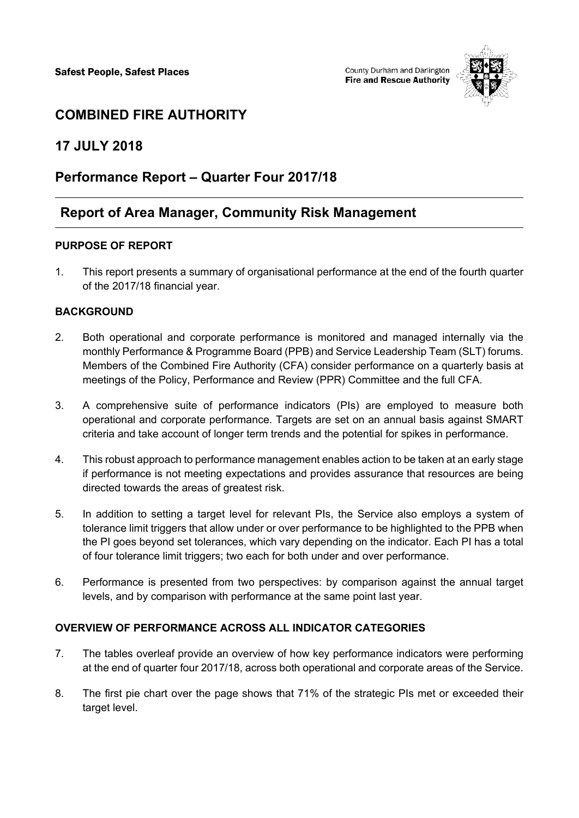

# **COMBINED FIRE AUTHORITY**

## **17 JULY 2018**

## **Performance Report – Quarter Four 2017/18**

## **Report of Area Manager, Community Risk Management**

### **PURPOSE OF REPORT**

1. This report presents a summary of organisational performance at the end of the fourth quarter of the 2017/18 financial year.

### **BACKGROUND**

- 2. Both operational and corporate performance is monitored and managed internally via the monthly Performance & Programme Board (PPB) and Service Leadership Team (SLT) forums. Members of the Combined Fire Authority (CFA) consider performance on a quarterly basis at meetings of the Policy, Performance and Review (PPR) Committee and the full CFA.
- 3. A comprehensive suite of performance indicators (PIs) are employed to measure both operational and corporate performance. Targets are set on an annual basis against SMART criteria and take account of longer term trends and the potential for spikes in performance.
- 4. This robust approach to performance management enables action to be taken at an early stage if performance is not meeting expectations and provides assurance that resources are being directed towards the areas of greatest risk.
- 5. In addition to setting a target level for relevant PIs, the Service also employs a system of tolerance limit triggers that allow under or over performance to be highlighted to the PPB when the PI goes beyond set tolerances, which vary depending on the indicator. Each PI has a total of four tolerance limit triggers; two each for both under and over performance.
- 6. Performance is presented from two perspectives: by comparison against the annual target levels, and by comparison with performance at the same point last year.

### **OVERVIEW OF PERFORMANCE ACROSS ALL INDICATOR CATEGORIES**

- 7. The tables overleaf provide an overview of how key performance indicators were performing at the end of quarter four 2017/18, across both operational and corporate areas of the Service.
- 8. The first pie chart over the page shows that 71% of the strategic PIs met or exceeded their target level.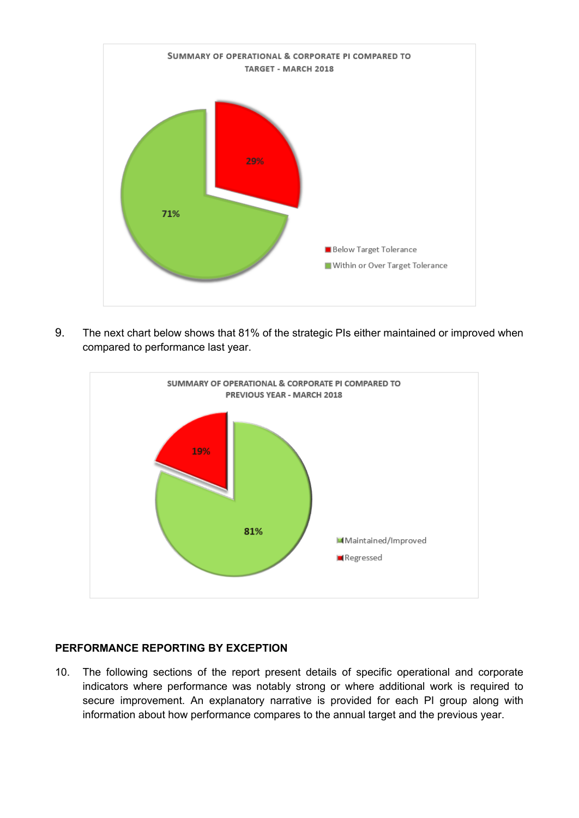

9. The next chart below shows that 81% of the strategic PIs either maintained or improved when compared to performance last year.



#### **PERFORMANCE REPORTING BY EXCEPTION**

10. The following sections of the report present details of specific operational and corporate indicators where performance was notably strong or where additional work is required to secure improvement. An explanatory narrative is provided for each PI group along with information about how performance compares to the annual target and the previous year.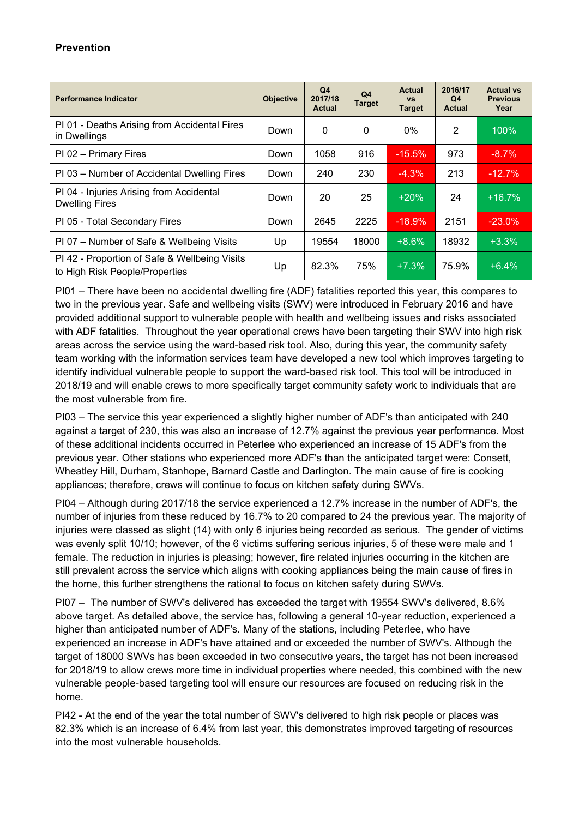### **Prevention**

| <b>Performance Indicator</b>                                                    | <b>Objective</b> | Q <sub>4</sub><br>2017/18<br><b>Actual</b> | Q4<br><b>Target</b> | Actual<br><b>VS</b><br><b>Target</b> | 2016/17<br>Q <sub>4</sub><br><b>Actual</b> | <b>Actual vs</b><br><b>Previous</b><br>Year |
|---------------------------------------------------------------------------------|------------------|--------------------------------------------|---------------------|--------------------------------------|--------------------------------------------|---------------------------------------------|
| PI 01 - Deaths Arising from Accidental Fires<br>in Dwellings                    | Down             | 0                                          | 0                   | $0\%$                                | 2                                          | 100%                                        |
| PI 02 - Primary Fires                                                           | Down             | 1058                                       | 916                 | $-15.5%$                             | 973                                        | $-8.7%$                                     |
| PI 03 – Number of Accidental Dwelling Fires                                     | Down             | 240                                        | 230                 | $-4.3%$                              | 213                                        | $-12.7%$                                    |
| PI 04 - Injuries Arising from Accidental<br><b>Dwelling Fires</b>               | Down             | 20                                         | 25                  | $+20%$                               | 24                                         | $+16.7%$                                    |
| PI 05 - Total Secondary Fires                                                   | Down             | 2645                                       | 2225                | $-18.9%$                             | 2151                                       | $-23.0%$                                    |
| PI 07 - Number of Safe & Wellbeing Visits                                       | Up               | 19554                                      | 18000               | $+8.6%$                              | 18932                                      | $+3.3%$                                     |
| PI 42 - Proportion of Safe & Wellbeing Visits<br>to High Risk People/Properties | Up               | 82.3%                                      | 75%                 | $+7.3%$                              | 75.9%                                      | $+6.4%$                                     |

PI01 – There have been no accidental dwelling fire (ADF) fatalities reported this year, this compares to two in the previous year. Safe and wellbeing visits (SWV) were introduced in February 2016 and have provided additional support to vulnerable people with health and wellbeing issues and risks associated with ADF fatalities. Throughout the year operational crews have been targeting their SWV into high risk areas across the service using the ward-based risk tool. Also, during this year, the community safety team working with the information services team have developed a new tool which improves targeting to identify individual vulnerable people to support the ward-based risk tool. This tool will be introduced in 2018/19 and will enable crews to more specifically target community safety work to individuals that are the most vulnerable from fire.

PI03 – The service this year experienced a slightly higher number of ADF's than anticipated with 240 against a target of 230, this was also an increase of 12.7% against the previous year performance. Most of these additional incidents occurred in Peterlee who experienced an increase of 15 ADF's from the previous year. Other stations who experienced more ADF's than the anticipated target were: Consett, Wheatley Hill, Durham, Stanhope, Barnard Castle and Darlington. The main cause of fire is cooking appliances; therefore, crews will continue to focus on kitchen safety during SWVs.

PI04 – Although during 2017/18 the service experienced a 12.7% increase in the number of ADF's, the number of injuries from these reduced by 16.7% to 20 compared to 24 the previous year. The majority of injuries were classed as slight (14) with only 6 injuries being recorded as serious. The gender of victims was evenly split 10/10; however, of the 6 victims suffering serious injuries, 5 of these were male and 1 female. The reduction in injuries is pleasing; however, fire related injuries occurring in the kitchen are still prevalent across the service which aligns with cooking appliances being the main cause of fires in the home, this further strengthens the rational to focus on kitchen safety during SWVs.

PI07 – The number of SWV's delivered has exceeded the target with 19554 SWV's delivered, 8.6% above target. As detailed above, the service has, following a general 10-year reduction, experienced a higher than anticipated number of ADF's. Many of the stations, including Peterlee, who have experienced an increase in ADF's have attained and or exceeded the number of SWV's. Although the target of 18000 SWVs has been exceeded in two consecutive years, the target has not been increased for 2018/19 to allow crews more time in individual properties where needed, this combined with the new vulnerable people-based targeting tool will ensure our resources are focused on reducing risk in the home.

PI42 - At the end of the year the total number of SWV's delivered to high risk people or places was 82.3% which is an increase of 6.4% from last year, this demonstrates improved targeting of resources into the most vulnerable households.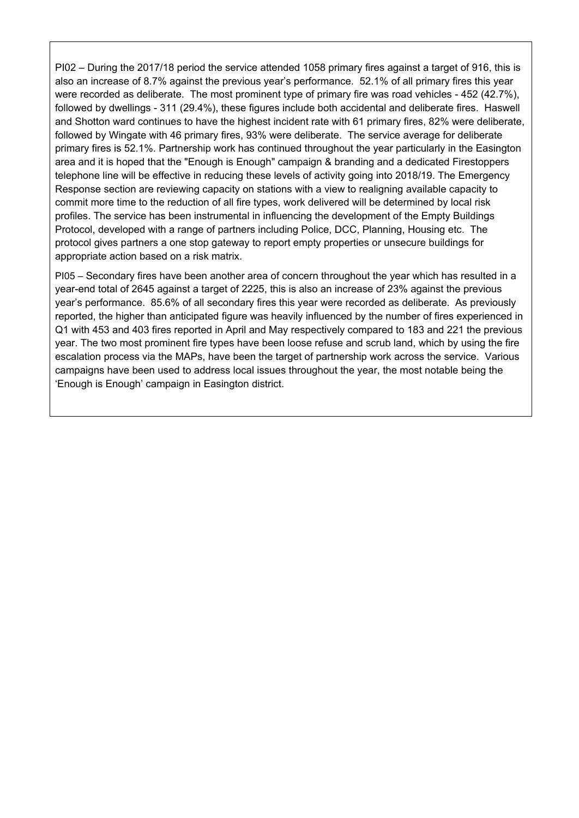PI02 – During the 2017/18 period the service attended 1058 primary fires against a target of 916, this is also an increase of 8.7% against the previous year's performance. 52.1% of all primary fires this year were recorded as deliberate. The most prominent type of primary fire was road vehicles - 452 (42.7%), followed by dwellings - 311 (29.4%), these figures include both accidental and deliberate fires. Haswell and Shotton ward continues to have the highest incident rate with 61 primary fires, 82% were deliberate, followed by Wingate with 46 primary fires, 93% were deliberate. The service average for deliberate primary fires is 52.1%. Partnership work has continued throughout the year particularly in the Easington area and it is hoped that the "Enough is Enough" campaign & branding and a dedicated Firestoppers telephone line will be effective in reducing these levels of activity going into 2018/19. The Emergency Response section are reviewing capacity on stations with a view to realigning available capacity to commit more time to the reduction of all fire types, work delivered will be determined by local risk profiles. The service has been instrumental in influencing the development of the Empty Buildings Protocol, developed with a range of partners including Police, DCC, Planning, Housing etc. The protocol gives partners a one stop gateway to report empty properties or unsecure buildings for appropriate action based on a risk matrix.

PI05 – Secondary fires have been another area of concern throughout the year which has resulted in a year-end total of 2645 against a target of 2225, this is also an increase of 23% against the previous year's performance. 85.6% of all secondary fires this year were recorded as deliberate. As previously reported, the higher than anticipated figure was heavily influenced by the number of fires experienced in Q1 with 453 and 403 fires reported in April and May respectively compared to 183 and 221 the previous year. The two most prominent fire types have been loose refuse and scrub land, which by using the fire escalation process via the MAPs, have been the target of partnership work across the service. Various campaigns have been used to address local issues throughout the year, the most notable being the 'Enough is Enough' campaign in Easington district.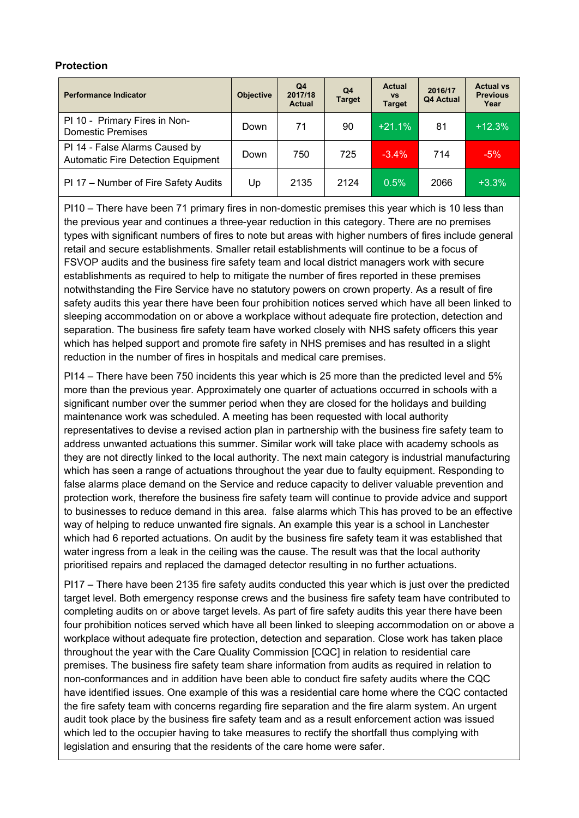#### **Protection**

| <b>Performance Indicator</b>                                                | <b>Objective</b> | Q4<br>2017/18<br><b>Actual</b> | Q <sub>4</sub><br><b>Target</b> | <b>Actual</b><br><b>VS</b><br><b>Target</b> | 2016/17<br>Q4 Actual | <b>Actual vs</b><br><b>Previous</b><br>Year |
|-----------------------------------------------------------------------------|------------------|--------------------------------|---------------------------------|---------------------------------------------|----------------------|---------------------------------------------|
| PI 10 - Primary Fires in Non-<br><b>Domestic Premises</b>                   | Down             | 71                             | 90                              | $+21.1%$                                    | 81                   | $+12.3%$                                    |
| PI 14 - False Alarms Caused by<br><b>Automatic Fire Detection Equipment</b> | Down             | 750                            | 725                             | $-3.4\%$                                    | 714                  | $-5%$                                       |
| PI 17 - Number of Fire Safety Audits                                        | Up               | 2135                           | 2124                            | 0.5%                                        | 2066                 | $+3.3%$                                     |

PI10 – There have been 71 primary fires in non-domestic premises this year which is 10 less than the previous year and continues a three-year reduction in this category. There are no premises types with significant numbers of fires to note but areas with higher numbers of fires include general retail and secure establishments. Smaller retail establishments will continue to be a focus of FSVOP audits and the business fire safety team and local district managers work with secure establishments as required to help to mitigate the number of fires reported in these premises notwithstanding the Fire Service have no statutory powers on crown property. As a result of fire safety audits this year there have been four prohibition notices served which have all been linked to sleeping accommodation on or above a workplace without adequate fire protection, detection and separation. The business fire safety team have worked closely with NHS safety officers this year which has helped support and promote fire safety in NHS premises and has resulted in a slight reduction in the number of fires in hospitals and medical care premises.

PI14 – There have been 750 incidents this year which is 25 more than the predicted level and 5% more than the previous year. Approximately one quarter of actuations occurred in schools with a significant number over the summer period when they are closed for the holidays and building maintenance work was scheduled. A meeting has been requested with local authority representatives to devise a revised action plan in partnership with the business fire safety team to address unwanted actuations this summer. Similar work will take place with academy schools as they are not directly linked to the local authority. The next main category is industrial manufacturing which has seen a range of actuations throughout the year due to faulty equipment. Responding to false alarms place demand on the Service and reduce capacity to deliver valuable prevention and protection work, therefore the business fire safety team will continue to provide advice and support to businesses to reduce demand in this area. false alarms which This has proved to be an effective way of helping to reduce unwanted fire signals. An example this year is a school in Lanchester which had 6 reported actuations. On audit by the business fire safety team it was established that water ingress from a leak in the ceiling was the cause. The result was that the local authority prioritised repairs and replaced the damaged detector resulting in no further actuations.

PI17 – There have been 2135 fire safety audits conducted this year which is just over the predicted target level. Both emergency response crews and the business fire safety team have contributed to completing audits on or above target levels. As part of fire safety audits this year there have been four prohibition notices served which have all been linked to sleeping accommodation on or above a workplace without adequate fire protection, detection and separation. Close work has taken place throughout the year with the Care Quality Commission [CQC] in relation to residential care premises. The business fire safety team share information from audits as required in relation to non-conformances and in addition have been able to conduct fire safety audits where the CQC have identified issues. One example of this was a residential care home where the CQC contacted the fire safety team with concerns regarding fire separation and the fire alarm system. An urgent audit took place by the business fire safety team and as a result enforcement action was issued which led to the occupier having to take measures to rectify the shortfall thus complying with legislation and ensuring that the residents of the care home were safer.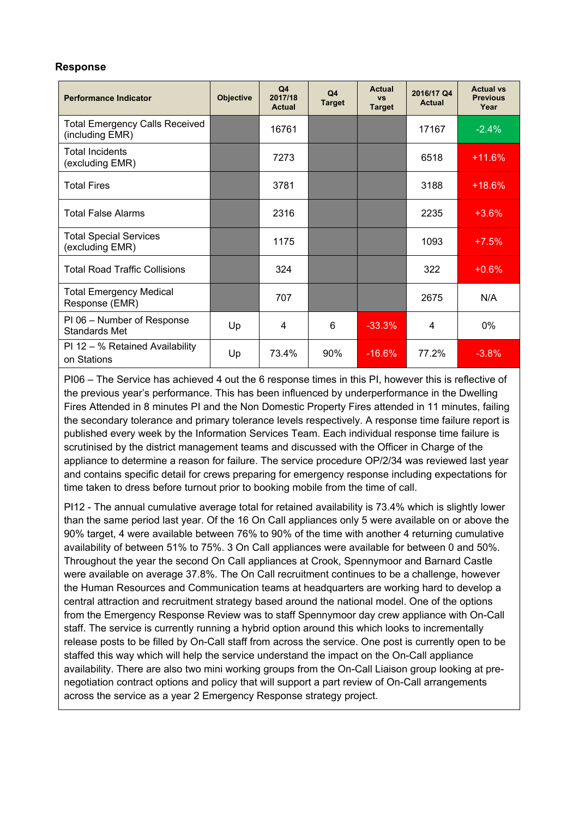#### **Response**

| <b>Performance Indicator</b>                             | <b>Objective</b> | Q <sub>4</sub><br>2017/18<br><b>Actual</b> | Q <sub>4</sub><br><b>Target</b> | <b>Actual</b><br><b>VS</b><br><b>Target</b> | 2016/17 Q4<br><b>Actual</b> | <b>Actual vs</b><br><b>Previous</b><br>Year |
|----------------------------------------------------------|------------------|--------------------------------------------|---------------------------------|---------------------------------------------|-----------------------------|---------------------------------------------|
| <b>Total Emergency Calls Received</b><br>(including EMR) |                  | 16761                                      |                                 |                                             | 17167                       | $-2.4%$                                     |
| <b>Total Incidents</b><br>(excluding EMR)                |                  | 7273                                       |                                 |                                             | 6518                        | $+11.6%$                                    |
| <b>Total Fires</b>                                       |                  | 3781                                       |                                 |                                             | 3188                        | $+18.6%$                                    |
| <b>Total False Alarms</b>                                |                  | 2316                                       |                                 |                                             | 2235                        | $+3.6%$                                     |
| <b>Total Special Services</b><br>(excluding EMR)         |                  | 1175                                       |                                 |                                             | 1093                        | $+7.5%$                                     |
| <b>Total Road Traffic Collisions</b>                     |                  | 324                                        |                                 |                                             | 322                         | $+0.6%$                                     |
| <b>Total Emergency Medical</b><br>Response (EMR)         |                  | 707                                        |                                 |                                             | 2675                        | N/A                                         |
| PI 06 - Number of Response<br>Standards Met              | Up               | 4                                          | 6                               | $-33.3%$                                    | 4                           | 0%                                          |
| PI 12 - % Retained Availability<br>on Stations           | Up               | 73.4%                                      | 90%                             | $-16.6%$                                    | 77.2%                       | $-3.8%$                                     |

PI06 – The Service has achieved 4 out the 6 response times in this PI, however this is reflective of the previous year's performance. This has been influenced by underperformance in the Dwelling Fires Attended in 8 minutes PI and the Non Domestic Property Fires attended in 11 minutes, failing the secondary tolerance and primary tolerance levels respectively. A response time failure report is published every week by the Information Services Team. Each individual response time failure is scrutinised by the district management teams and discussed with the Officer in Charge of the appliance to determine a reason for failure. The service procedure OP/2/34 was reviewed last year and contains specific detail for crews preparing for emergency response including expectations for time taken to dress before turnout prior to booking mobile from the time of call.

PI12 - The annual cumulative average total for retained availability is 73.4% which is slightly lower than the same period last year. Of the 16 On Call appliances only 5 were available on or above the 90% target, 4 were available between 76% to 90% of the time with another 4 returning cumulative availability of between 51% to 75%. 3 On Call appliances were available for between 0 and 50%. Throughout the year the second On Call appliances at Crook, Spennymoor and Barnard Castle were available on average 37.8%. The On Call recruitment continues to be a challenge, however the Human Resources and Communication teams at headquarters are working hard to develop a central attraction and recruitment strategy based around the national model. One of the options from the Emergency Response Review was to staff Spennymoor day crew appliance with On-Call staff. The service is currently running a hybrid option around this which looks to incrementally release posts to be filled by On-Call staff from across the service. One post is currently open to be staffed this way which will help the service understand the impact on the On-Call appliance availability. There are also two mini working groups from the On-Call Liaison group looking at prenegotiation contract options and policy that will support a part review of On-Call arrangements across the service as a year 2 Emergency Response strategy project.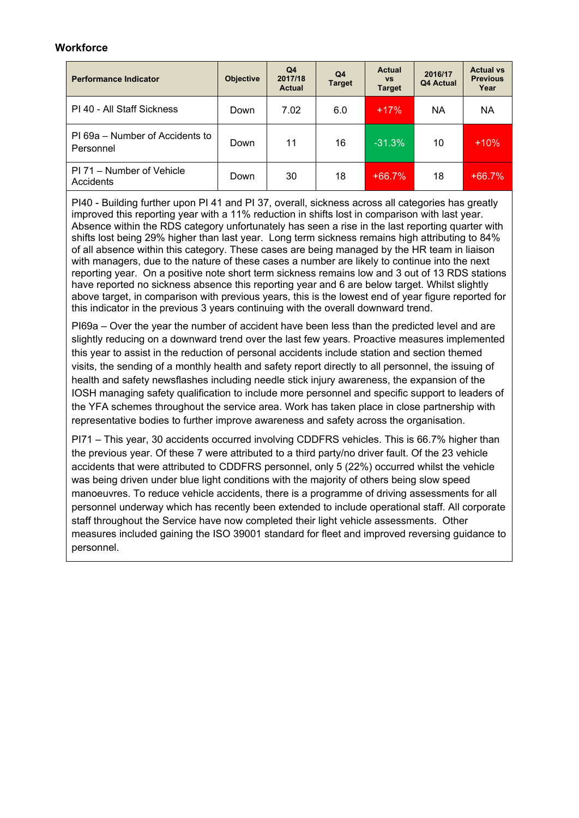#### **Workforce**

| <b>Performance Indicator</b>                 | <b>Objective</b> | Q4<br>2017/18<br><b>Actual</b> | Q <sub>4</sub><br><b>Target</b> | <b>Actual</b><br><b>VS</b><br><b>Target</b> | 2016/17<br>Q4 Actual | <b>Actual vs</b><br><b>Previous</b><br>Year |
|----------------------------------------------|------------------|--------------------------------|---------------------------------|---------------------------------------------|----------------------|---------------------------------------------|
| PI 40 - All Staff Sickness                   | Down             | 7.02                           | 6.0                             | $+17%$                                      | <b>NA</b>            | <b>NA</b>                                   |
| PI 69a – Number of Accidents to<br>Personnel | Down             | 11                             | 16                              | $-31.3%$                                    | 10                   | $+10%$                                      |
| PI 71 – Number of Vehicle<br>Accidents       | Down             | 30                             | 18                              | $+66.7%$                                    | 18                   | $+66.7%$                                    |

PI40 - Building further upon PI 41 and PI 37, overall, sickness across all categories has greatly improved this reporting year with a 11% reduction in shifts lost in comparison with last year. Absence within the RDS category unfortunately has seen a rise in the last reporting quarter with shifts lost being 29% higher than last year. Long term sickness remains high attributing to 84% of all absence within this category. These cases are being managed by the HR team in liaison with managers, due to the nature of these cases a number are likely to continue into the next reporting year. On a positive note short term sickness remains low and 3 out of 13 RDS stations have reported no sickness absence this reporting year and 6 are below target. Whilst slightly above target, in comparison with previous years, this is the lowest end of year figure reported for this indicator in the previous 3 years continuing with the overall downward trend.

PI69a – Over the year the number of accident have been less than the predicted level and are slightly reducing on a downward trend over the last few years. Proactive measures implemented this year to assist in the reduction of personal accidents include station and section themed visits, the sending of a monthly health and safety report directly to all personnel, the issuing of health and safety newsflashes including needle stick injury awareness, the expansion of the IOSH managing safety qualification to include more personnel and specific support to leaders of the YFA schemes throughout the service area. Work has taken place in close partnership with representative bodies to further improve awareness and safety across the organisation.

PI71 – This year, 30 accidents occurred involving CDDFRS vehicles. This is 66.7% higher than the previous year. Of these 7 were attributed to a third party/no driver fault. Of the 23 vehicle accidents that were attributed to CDDFRS personnel, only 5 (22%) occurred whilst the vehicle was being driven under blue light conditions with the majority of others being slow speed manoeuvres. To reduce vehicle accidents, there is a programme of driving assessments for all personnel underway which has recently been extended to include operational staff. All corporate staff throughout the Service have now completed their light vehicle assessments. Other measures included gaining the ISO 39001 standard for fleet and improved reversing guidance to personnel.